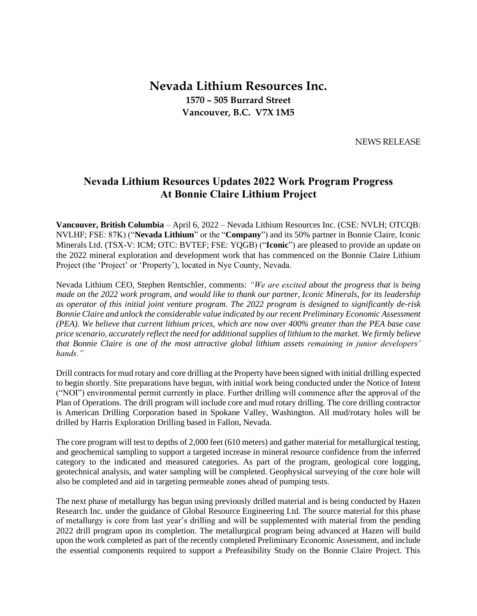# **Nevada Lithium Resources Inc. 1570 – 505 Burrard Street Vancouver, B.C. V7X 1M5**

NEWS RELEASE

## **Nevada Lithium Resources Updates 2022 Work Program Progress At Bonnie Claire Lithium Project**

**Vancouver, British Columbia** – April 6, 2022 – Nevada Lithium Resources Inc. (CSE: NVLH; OTCQB: NVLHF; FSE: 87K) ("**Nevada Lithium**" or the "**Company**") and its 50% partner in Bonnie Claire, Iconic Minerals Ltd. (TSX-V: ICM; OTC: BVTEF; FSE: YQGB) ("**Iconic**") are pleased to provide an update on the 2022 mineral exploration and development work that has commenced on the Bonnie Claire Lithium Project (the 'Project' or 'Property'), located in Nye County, Nevada.

Nevada Lithium CEO, Stephen Rentschler, comments: *"We are excited about the progress that is being made on the 2022 work program, and would like to thank our partner, Iconic Minerals, for its leadership as operator of this initial joint venture program. The 2022 program is designed to significantly de-risk Bonnie Claire and unlock the considerable value indicated by our recent Preliminary Economic Assessment (PEA). We believe that current lithium prices, which are now over 400% greater than the PEA base case price scenario, accurately reflect the need for additional supplies of lithium to the market. We firmly believe that Bonnie Claire is one of the most attractive global lithium assets remaining in junior developers' hands."*

Drill contracts for mud rotary and core drilling at the Property have been signed with initial drilling expected to begin shortly. Site preparations have begun, with initial work being conducted under the Notice of Intent ("NOI") environmental permit currently in place. Further drilling will commence after the approval of the Plan of Operations. The drill program will include core and mud rotary drilling. The core drilling contractor is American Drilling Corporation based in Spokane Valley, Washington. All mud/rotary holes will be drilled by Harris Exploration Drilling based in Fallon, Nevada.

The core program will test to depths of 2,000 feet (610 meters) and gather material for metallurgical testing, and geochemical sampling to support a targeted increase in mineral resource confidence from the inferred category to the indicated and measured categories. As part of the program, geological core logging, geotechnical analysis, and water sampling will be completed. Geophysical surveying of the core hole will also be completed and aid in targeting permeable zones ahead of pumping tests.

The next phase of metallurgy has begun using previously drilled material and is being conducted by Hazen Research Inc. under the guidance of Global Resource Engineering Ltd. The source material for this phase of metallurgy is core from last year's drilling and will be supplemented with material from the pending 2022 drill program upon its completion. The metallurgical program being advanced at Hazen will build upon the work completed as part of the recently completed Preliminary Economic Assessment, and include the essential components required to support a Prefeasibility Study on the Bonnie Claire Project. This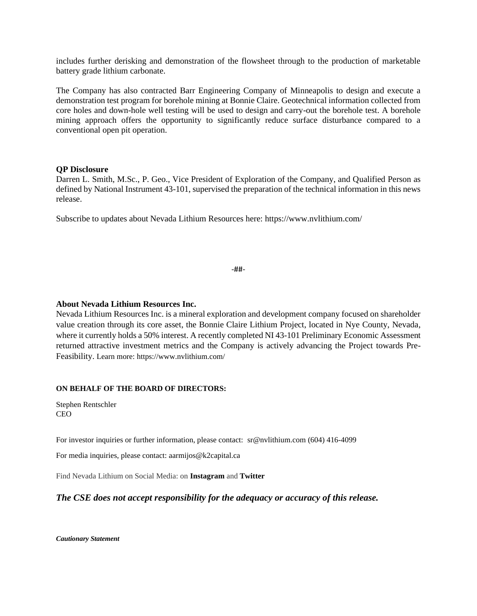includes further derisking and demonstration of the flowsheet through to the production of marketable battery grade lithium carbonate.

The Company has also contracted Barr Engineering Company of Minneapolis to design and execute a demonstration test program for borehole mining at Bonnie Claire. Geotechnical information collected from core holes and down-hole well testing will be used to design and carry-out the borehole test. A borehole mining approach offers the opportunity to significantly reduce surface disturbance compared to a conventional open pit operation.

#### **QP Disclosure**

Darren L. Smith, M.Sc., P. Geo., Vice President of Exploration of the Company, and Qualified Person as defined by National Instrument 43-101, supervised the preparation of the technical information in this news release.

Subscribe to updates about Nevada Lithium Resources here: https://www.nvlithium.com/

-##-

#### **About Nevada Lithium Resources Inc.**

Nevada Lithium Resources Inc. is a mineral exploration and development company focused on shareholder value creation through its core asset, the Bonnie Claire Lithium Project, located in Nye County, Nevada, where it currently holds a 50% interest. A recently completed NI 43-101 Preliminary Economic Assessment returned attractive investment metrics and the Company is actively advancing the Project towards Pre-Feasibility. Learn more: https://www.nvlithium.com/

#### **ON BEHALF OF THE BOARD OF DIRECTORS:**

Stephen Rentschler CEO

For investor inquiries or further information, please contact: sr@nvlithium.com (604) 416-4099

For media inquiries, please contact: aarmijos@k2capital.ca

Find Nevada Lithium on Social Media: on **Instagram** and **Twitter**

### *The CSE does not accept responsibility for the adequacy or accuracy of this release.*

*Cautionary Statement*